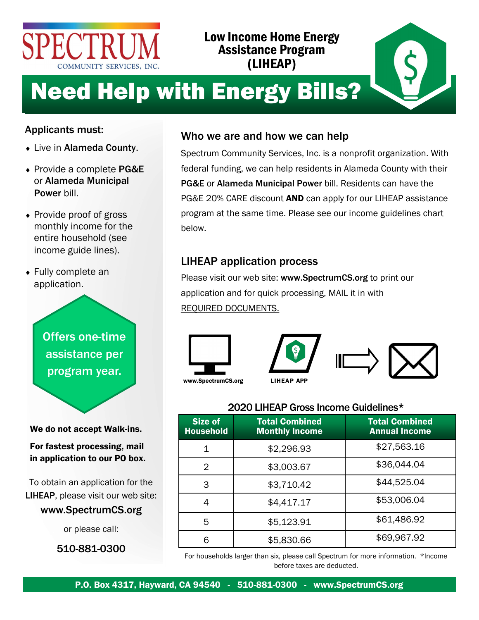

# Low Income Home Energy Assistance Program (LIHEAP)



# Need Help with Energy Bills?

## Applicants must:

- Live in Alameda County.
- ◆ Provide a complete PG&E or Alameda Municipal Power bill.
- Provide proof of gross monthly income for the entire household (see income guide lines).
- Fully complete an application.

Offers one-time assistance per program year.

We do not accept Walk-ins.

For fastest processing, mail in application to our PO box.

To obtain an application for the LIHEAP, please visit our web site:

### www.SpectrumCS.org

or please call:

510-881-0300

# Who we are and how we can help

Spectrum Community Services, Inc. is a nonprofit organization. With federal funding, we can help residents in Alameda County with their PG&E or Alameda Municipal Power bill. Residents can have the PG&E 20% CARE discount **AND** can apply for our LIHEAP assistance program at the same time. Please see our income guidelines chart below.

# LIHEAP application process

Please visit our web site: www.SpectrumCS.org to print our application and for quick processing, MAIL it in with REQUIRED DOCUMENTS.





### 2020 LIHEAP Gross Income Guidelines\*

| <b>Size of</b><br><b>Household</b> | <b>Total Combined</b><br><b>Monthly Income</b> | <b>Total Combined</b><br><b>Annual Income</b> |  |
|------------------------------------|------------------------------------------------|-----------------------------------------------|--|
| 1                                  | \$2,296.93                                     | \$27,563.16                                   |  |
| 2                                  | \$3,003.67                                     | \$36,044.04                                   |  |
| 3                                  | \$3,710.42                                     | \$44,525.04                                   |  |
| 4                                  | \$4,417.17                                     | \$53,006.04                                   |  |
| 5                                  | \$5,123.91                                     | \$61,486.92                                   |  |
| 6                                  | \$5,830.66                                     | \$69,967.92                                   |  |

For households larger than six, please call Spectrum for more information. \*Income before taxes are deducted.